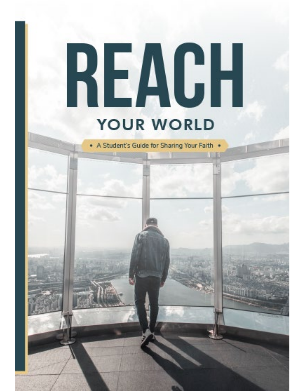# REAGH **YOUR WORLD**

\* A Student's Guide for Sharing Your Faith \*

<u>a samana a</u>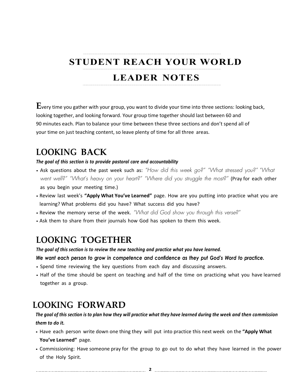# **STUDENT REACH YOUR WORLD**

## **LEADER NOTES**

**E**very time you gather with your group, you want to divide your time into three sections: looking back, looking together, and looking forward. Your group time together should last between 60 and 90 minutes each. Plan to balance your time between these three sections and don't spend all of your time on just teaching content, so leave plenty of time for all three areas.

## **LOOKING BACK**

*The goal of this section is to provide pastoral care and accountability*

- Ask questions about the past week such as: *"How did this week go?" "What stressed you?" "What went well?" "What's heavy on your heart?" "Where did you struggle the most?"* (Pray for each other as you begin your meeting time.)
- Review last week's **"Apply What You've Learned"** page. How are you putting into practice what you are learning? What problems did you have? What success did you have?
- Review the memory verse of the week. *"What did God show you through this verse?"*
- Ask them to share from their journals how God has spoken to them this week.

## **LOOKING TOGETHER**

*The goal of this section is to review the new teaching and practice what you have learned.*

*We want each person to grow in competence and confidence as they put God's Word to practice.*

- Spend time reviewing the key questions from each day and discussing answers.
- Half of the time should be spent on teaching and half of the time on practicing what you have learned together as a group.

## **LOOKING FORWARD**

*The goal of this section is to plan how they will practice what they have learned during the week and then commission them to do it.*

- Have each person write down one thing they will put into practice this next week on the **"Apply What You've Learned"** page.
- Commissioning: Have someone pray for the group to go out to do what they have learned in the power of the Holy Spirit.

 **2**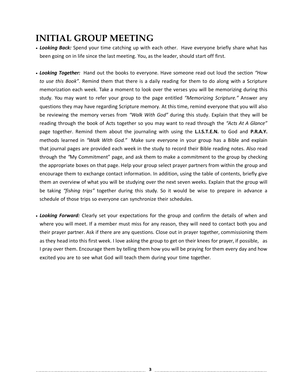# **INITIAL GROUP MEETING**

- Looking Back: Spend your time catching up with each other. Have everyone briefly share what has been going on in life since the last meeting. You, as the leader, should start off first.
- *Looking Together:* Hand out the books to everyone. Have someone read out loud the section *"How to use this Book"*. Remind them that there is a daily reading for them to do along with a Scripture memorization each week. Take a moment to look over the verses you will be memorizing during this study. You may want to refer your group to the page entitled *"Memorizing Scripture."* Answer any questions they may have regarding Scripture memory. At this time, remind everyone that you will also be reviewing the memory verses from *"Walk With God"* during this study. Explain that they will be reading through the book of Acts together so you may want to read through the *"Acts At A Glance"* page together. Remind them about the journaling with using the **L.I.S.T.E.N.** to God and **P.R.A.Y.**  methods learned in *"Walk With God."* Make sure everyone in your group has a Bible and explain that journal pages are provided each week in the study to record their Bible reading notes. Also read through the *"*My Commitment" page, and ask them to make a commitment to the group by checking the appropriate boxes on that page. Help your group select prayer partners from within the group and encourage them to exchange contact information. In addition, using the table of contents, briefly give them an overview of what you will be studying over the next seven weeks. Explain that the group will be taking *"fishing trips"* together during this study. So it would be wise to prepare in advance a schedule of those trips so everyone can synchronize their schedules.
- *Looking Forward:* Clearly set your expectations for the group and confirm the details of when and where you will meet. If a member must miss for any reason, they will need to contact both you and their prayer partner. Ask if there are any questions. Close out in prayer together, commissioning them as they head into this first week. I love asking the group to get on their knees for prayer, if possible, as I pray over them. Encourage them by telling them how you will be praying for them every day and how excited you are to see what God will teach them during your time together.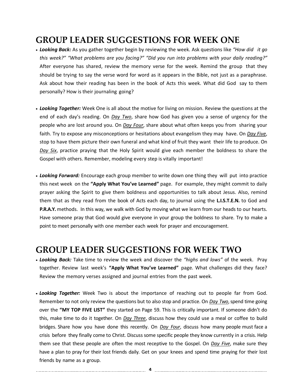# **GROUP LEADER SUGGESTIONS FOR WEEK ONE**

- *Looking Back:* As you gather together begin by reviewing the week. Ask questions like *"How did it go this week?" "What problems are you facing?" "Did you run into problems with your daily reading?"*  After everyone has shared, review the memory verse for the week. Remind the group that they should be trying to say the verse word for word as it appears in the Bible, not just as a paraphrase. Ask about how their reading has been in the book of Acts this week. What did God say to them personally? How is their journaling going?
- *Looking Together:* Week One is all about the motive for living on mission. Review the questions at the end of each day's reading. On *Day Two*, share how God has given you a sense of urgency for the people who are lost around you. On *Day Four*, share about what often keeps you from sharing your faith. Try to expose any misconceptions or hesitations about evangelism they may have. On *Day Five*, stop to have them picture their own funeral and what kind of fruit they want their life to produce. On *Day Six*, practice praying that the Holy Spirit would give each member the boldness to share the Gospel with others. Remember, modeling every step is vitally important!
- *Looking Forward:* Encourage each group member to write down one thing they will put into practice this next week on the **"Apply What You've Learned"** page. For example, they might commit to daily prayer asking the Spirit to give them boldness and opportunities to talk about Jesus. Also, remind them that as they read from the book of Acts each day, to journal using the **L.I.S.T.E.N.** to God and **P.R.A.Y.** methods. In this way, we walk with God by moving what we learn from our heads to our hearts. Have someone pray that God would give everyone in your group the boldness to share. Try to make a point to meet personally with one member each week for prayer and encouragement.

#### **GROUP LEADER SUGGESTIONS FOR WEEK TWO**

- *Looking Back:* Take time to review the week and discover the *"highs and lows"* of the week. Pray together. Review last week's **"Apply What You've Learned"** page. What challenges did they face? Review the memory verses assigned and journal entries from the past week.
- *Looking Together:* Week Two is about the importance of reaching out to people far from God. Remember to not only review the questions but to also stop and practice. On *Day Two*, spend time going over the **"MY TOP FIVE LIST"** they started on Page 59. This is critically important. If someone didn't do this, make time to do it together. On *Day Three*, discuss how they could use a meal or coffee to build bridges. Share how you have done this recently. On *Day Four*, discuss how many people must face a crisis before they finally come to Christ. Discuss some specific people they know currently in a crisis. Help them see that these people are often the most receptive to the Gospel. On *Day Five*, make sure they have a plan to pray for their lost friends daily. Get on your knees and spend time praying for their lost friends by name as a group.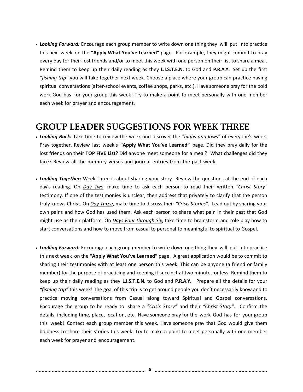• *Looking Forward:* Encourage each group member to write down one thing they will put into practice this next week on the **"Apply What You've Learned"** page. For example, they might commit to pray every day for their lost friends and/or to meet this week with one person on their list to share a meal. Remind them to keep up their daily reading as they **L.I.S.T.E.N.** to God and **P.R.A.Y.** Set up the first *"fishing trip"* you will take together next week. Choose a place where your group can practice having spiritual conversations (after-school events, coffee shops, parks, etc.). Have someone pray for the bold work God has for your group this week! Try to make a point to meet personally with one member each week for prayer and encouragement.

#### **GROUP LEADER SUGGESTIONS FOR WEEK THREE**

- *Looking Back:* Take time to review the week and discover the *"highs and lows"* of everyone's week. Pray together. Review last week's **"Apply What You've Learned"** page. Did they pray daily for the lost friends on their **TOP FIVE List**? Did anyone meet someone for a meal? What challenges did they face? Review all the memory verses and journal entries from the past week.
- *Looking Together:* Week Three is about sharing your story! Review the questions at the end of each day's reading. On *Day Two*, make time to ask each person to read their written *"Christ Story"*  testimony. If one of the testimonies is unclear, then address that privately to clarify that the person truly knows Christ. On *Day Three*, make time to discuss their *"Crisis Stories"*. Lead out by sharing your own pains and how God has used them. Ask each person to share what pain in their past that God might use as their platform. On *Days Four through Six*, take time to brainstorm and role play how to start conversations and how to move from casual to personal to meaningful to spiritual to Gospel.
- *Looking Forward:* Encourage each group member to write down one thing they will put into practice this next week on the **"Apply What You've Learned"** page. A great application would be to commit to sharing their testimonies with at least one person this week. This can be anyone (a friend or family member) for the purpose of practicing and keeping it succinct at two minutes or less. Remind them to keep up their daily reading as they **L.I.S.T.E.N.** to God and **P.R.A.Y.** Prepare all the details for your *"fishing trip"* this week! The goal of this trip is to get around people you don't necessarily know and to practice moving conversations from Casual along toward Spiritual and Gospel conversations. Encourage the group to be ready to share a *"Crisis Story"* and their *"Christ Story"*. Confirm the details, including time, place, location, etc. Have someone pray for the work God has for your group this week! Contact each group member this week. Have someone pray that God would give them boldness to share their stories this week. Try to make a point to meet personally with one member each week for prayer and encouragement.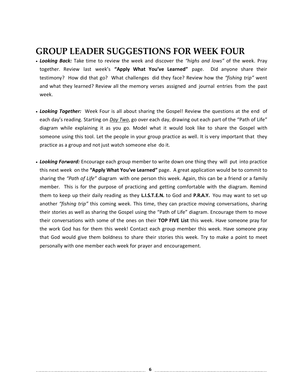## **GROUP LEADER SUGGESTIONS FOR WEEK FOUR**

- *Looking Back:* Take time to review the week and discover the *"highs and lows"* of the week. Pray together. Review last week's **"Apply What You've Learned"** page. Did anyone share their testimony? How did that go? What challenges did they face? Review how the *"fishing trip"* went and what they learned? Review all the memory verses assigned and journal entries from the past week.
- *Looking Together:* Week Four is all about sharing the Gospel! Review the questions at the end of each day's reading. Starting on *Day Two*, go over each day, drawing out each part of the "Path of Life" diagram while explaining it as you go. Model what it would look like to share the Gospel with someone using this tool. Let the people in your group practice as well. It is very important that they practice as a group and not just watch someone else do it.
- *Looking Forward:* Encourage each group member to write down one thing they will put into practice this next week on the **"Apply What You've Learned"** page. A great application would be to commit to sharing the *"Path of Life"* diagram with one person this week. Again, this can be a friend or a family member. This is for the purpose of practicing and getting comfortable with the diagram. Remind them to keep up their daily reading as they **L.I.S.T.E.N.** to God and **P.R.A.Y.** You may want to set up another *"fishing trip"* this coming week. This time, they can practice moving conversations, sharing their stories as well as sharing the Gospel using the "Path of Life" diagram. Encourage them to move their conversations with some of the ones on their **TOP FIVE List** this week. Have someone pray for the work God has for them this week! Contact each group member this week. Have someone pray that God would give them boldness to share their stories this week. Try to make a point to meet personally with one member each week for prayer and encouragement.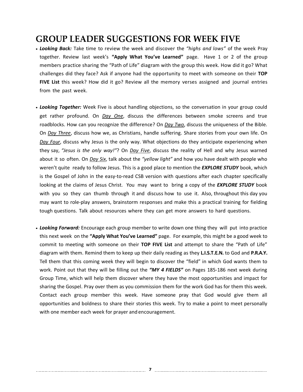## **GROUP LEADER SUGGESTIONS FOR WEEK FIVE**

- *Looking Back:* Take time to review the week and discover the *"highs and lows"* of the week Pray together. Review last week's **"Apply What You've Learned"** page. Have 1 or 2 of the group members practice sharing the "Path of Life" diagram with the group this week. How did it go? What challenges did they face? Ask if anyone had the opportunity to meet with someone on their **TOP FIVE List** this week? How did it go? Review all the memory verses assigned and journal entries from the past week.
- *Looking Together:* Week Five is about handling objections, so the conversation in your group could get rather profound. On *Day One*, discuss the differences between smoke screens and true roadblocks. How can you recognize the difference? On *Day Two*, discuss the uniqueness of the Bible. On *Day Three*, discuss how we, as Christians, handle suffering. Share stories from your own life. On *Day Four*, discuss why Jesus is the only way. What objections do they anticipate experiencing when they say, *"Jesus is the only way!"*? On *Day Five*, discuss the reality of Hell and why Jesus warned about it so often. On *Day Six*, talk about the *"yellow light"* and how you have dealt with people who weren't quite ready to follow Jesus. This is a good place to mention the *EXPLORE STUDY* book, which is the Gospel of John in the easy-to-read CSB version with questions after each chapter specifically looking at the claims of Jesus Christ. You may want to bring a copy of the *EXPLORE STUDY* book with you so they can thumb through it and discuss how to use it. Also, throughout this day you may want to role-play answers, brainstorm responses and make this a practical training for fielding tough questions. Talk about resources where they can get more answers to hard questions.
- *Looking Forward:* Encourage each group member to write down one thing they will put into practice this next week on the **"Apply What You've Learned"** page. For example, this might be a good week to commit to meeting with someone on their **TOP FIVE List** and attempt to share the "Path of Life" diagram with them. Remind them to keep up their daily reading as they **L.I.S.T.E.N.** to God and **P.R.A.Y.**  Tell them that this coming week they will begin to discover the "field" in which God wants them to work. Point out that they will be filling out the *"MY 4 FIELDS"* on Pages 185-186 next week during Group Time, which will help them discover where they have the most opportunities and impact for sharing the Gospel. Pray over them as you commission them for the work God has for them this week. Contact each group member this week. Have someone pray that God would give them all opportunities and boldness to share their stories this week. Try to make a point to meet personally with one member each week for prayer and encouragement.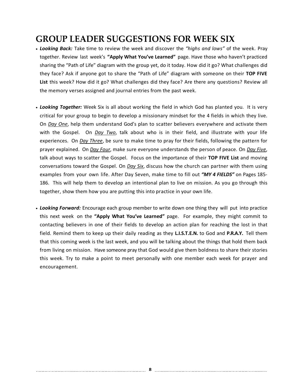# **GROUP LEADER SUGGESTIONS FOR WEEK SIX**

- *Looking Back:* Take time to review the week and discover the *"highs and lows"* of the week. Pray together. Review last week's **"Apply What You've Learned"** page. Have those who haven't practiced sharing the "Path of Life" diagram with the group yet, do it today. How did it go? What challenges did they face? Ask if anyone got to share the "Path of Life" diagram with someone on their **TOP FIVE List** this week? How did it go? What challenges did they face? Are there any questions? Review all the memory verses assigned and journal entries from the past week.
- *Looking Together:* Week Six is all about working the field in which God has planted you. It is very critical for your group to begin to develop a missionary mindset for the 4 fields in which they live. On *Day One*, help them understand God's plan to scatter believers everywhere and activate them with the Gospel. On *Day Two*, talk about who is in their field, and illustrate with your life experiences. On *Day Three*, be sure to make time to pray for their fields, following the pattern for prayer explained. On *Day Four*, make sure everyone understands the person of peace. On *Day Five*, talk about ways to scatter the Gospel. Focus on the importance of their **TOP FIVE List** and moving conversations toward the Gospel. On *Day Six*, discuss how the church can partner with them using examples from your own life. After Day Seven, make time to fill out *"MY 4 FIELDS"* on Pages 185- 186. This will help them to develop an intentional plan to live on mission. As you go through this together, show them how you are putting this into practice in your own life.
- *Looking Forward:* Encourage each group member to write down one thing they will put into practice this next week on the **"Apply What You've Learned"** page. For example, they might commit to contacting believers in one of their fields to develop an action plan for reaching the lost in that field. Remind them to keep up their daily reading as they **L.I.S.T.E.N.** to God and **P.R.A.Y.** Tell them that this coming week is the last week, and you will be talking about the things that hold them back from living on mission. Have someone pray that God would give them boldness to share their stories this week. Try to make a point to meet personally with one member each week for prayer and encouragement.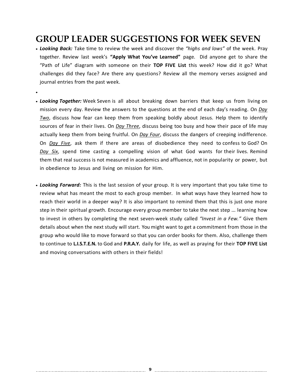# **GROUP LEADER SUGGESTIONS FOR WEEK SEVEN**

• *Looking Back:* Take time to review the week and discover the *"highs and lows"* of the week. Pray together. Review last week's **"Apply What You've Learned"** page. Did anyone get to share the "Path of Life" diagram with someone on their **TOP FIVE List** this week? How did it go? What challenges did they face? Are there any questions? Review all the memory verses assigned and journal entries from the past week.

•

- *Looking Together:* Week Seven is all about breaking down barriers that keep us from living on mission every day. Review the answers to the questions at the end of each day's reading. On *Day Two*, discuss how fear can keep them from speaking boldly about Jesus. Help them to identify sources of fear in their lives. On *Day Three*, discuss being too busy and how their pace of life may actually keep them from being fruitful. On *Day Four*, discuss the dangers of creeping indifference. On *Day Five*, ask them if there are areas of disobedience they need to confess to God? On *Day Six*, spend time casting a compelling vision of what God wants for their lives. Remind them that real success is not measured in academics and affluence, not in popularity or power, but in obedience to Jesus and living on mission for Him.
- *Looking Forward:* This is the last session of your group. It is very important that you take time to review what has meant the most to each group member. In what ways have they learned how to reach their world in a deeper way? It is also important to remind them that this is just one more step in their spiritual growth. Encourage every group member to take the next step … learning how to invest in others by completing the next seven-week study called *"Invest in a Few."* Give them details about when the next study will start. You might want to get a commitment from those in the group who would like to move forward so that you can order books for them. Also, challenge them to continue to **L.I.S.T.E.N.** to God and **P.R.A.Y.** daily for life, as well as praying for their **TOP FIVE List** and moving conversations with others in their fields!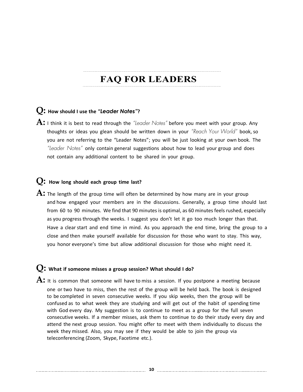# **FAQ FOR LEADERS**

#### **Q: How should <sup>I</sup> use the** *"Leader Notes"***?**

**A:** <sup>I</sup> think it is best to read through the *"Leader Notes"* before you meet with your group. Any thoughts or ideas you glean should be written down in your *"Reach Your World"* book, so you are not referring to the "Leader Notes"; you will be just looking at your own book. The *"Leader Notes"* only contain general suggestions about how to lead your group and does not contain any additional content to be shared in your group.

#### **Q: How long should each group time last?**

A: The length of the group time will often be determined by how many are in your group and how engaged your members are in the discussions. Generally, a group time should last from 60 to 90 minutes. We find that 90 minutes is optimal, as 60 minutes feels rushed, especially as you progress through the weeks. I suggest you don't let it go too much longer than that. Have a clear start and end time in mind. As you approach the end time, bring the group to a close and then make yourself available for discussion for those who want to stay. This way, you honor everyone's time but allow additional discussion for those who might need it.

#### **Q: What if someone misses <sup>a</sup> group session? What should <sup>I</sup> do?**

A: It is common that someone will have to miss a session. If you postpone a meeting because one or two have to miss, then the rest of the group will be held back. The book is designed to be completed in seven consecutive weeks. If you skip weeks, then the group will be confused as to what week they are studying and will get out of the habit of spending time with God every day. My suggestion is to continue to meet as a group for the full seven consecutive weeks. If a member misses, ask them to continue to do their study every day and attend the next group session. You might offer to meet with them individually to discuss the week they missed. Also, you may see if they would be able to join the group via teleconferencing (Zoom, Skype, Facetime etc.).